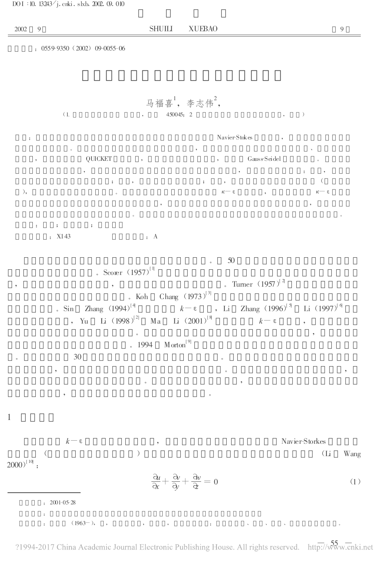DOI :10.13243<sup>/</sup>j. cnki . slxb. 2002. 09. 010

 $: 0559-9350 (2002) 09-0055-06$ 

## 马福喜,李志伟 ,

(1. , 450045;2. , )

: Navier-Stokes , where  $\frac{1}{2}$  , we are the contract of  $\frac{1}{2}$  , we are the contract of  $\frac{1}{2}$  , we are the contract of  $\frac{1}{2}$ , QUICKET , , Gauss-Seidel 。 , , : , ; , ; , ( ),  $κ-ε$ ,  $κ-ε$ , ,

 $\bullet$  $\mathbf{r}$  ;  $\mathbf{r}$  ;  $\mathbf{r}$  ;  $\mathbf{r}$  ;  $\mathbf{r}$  ;  $\mathbf{r}$ : X143 : A

, Yu Li (1998)<sup>[2]</sup> Ma

。 50 Scorer  $(1957)^{1}$ ,  $\frac{1}{3}$  ,  $\frac{1}{3}$  ,  $\frac{1}{3}$  ,  $\frac{1}{3}$  ,  $\frac{1}{3}$  ,  $\frac{1}{3}$  ,  $\frac{1}{3}$  ,  $\frac{1}{3}$  ,  $\frac{1}{3}$  ,  $\frac{1}{3}$  ,  $\frac{1}{3}$  ,  $\frac{1}{3}$  ,  $\frac{1}{3}$  ,  $\frac{1}{3}$  ,  $\frac{1}{3}$  ,  $\frac{1}{3}$  ,  $\frac{1}{3}$  ,  $\frac{1}{3}$  ,  $\frac$ . Koh Chang  $(1973)^{[3]}$ . Sin Zhang  $(1994)^{[4]}$  $k$  - ε , Li Zhang (1996)<sup>[5]</sup> Li  $(1997)^{[6]}$ 

 $^{[2]}$  Ma Li  $(2001)^{8}$  $\overline{\phantom{a}}$ . 1994 Morton<sup>[9]</sup>  $30$ 

, where  $\mathbf{r}$  is the contract of the contract of the contract of the contract of the contract of the contract of the contract of the contract of the contract of the contract of the contract of the contract of the contr

 $(1963-),$  , , , , , ,

 $k - \epsilon$  , Navier-Storkes ( ) (Li Wang  $(2000)^{110}$  :

, where  $\alpha$  , we have  $\alpha$  , we have  $\alpha$  , we have  $\alpha$  , we have  $\alpha$  $\bullet$  , and the set of the set of the set of the set of the set of the set of the set of the set of the set of the set of the set of the set of the set of the set of the set of the set of the set of the set of the set of t

> $\partial$ u  $\frac{\partial u}{\partial x} + \frac{\partial v}{\partial y}$  $\frac{\partial y}{\partial y} + \frac{\partial w}{\partial z}$  $\hat{\mathcal{Z}}$  $=0$  (1)

 $k - ε$ 

:2001-05-28 :

1

?1994-2017 China Academic Journal Electronic Publishing House. All rights reserved. http:// $\sqrt{55}$ w.cnki.net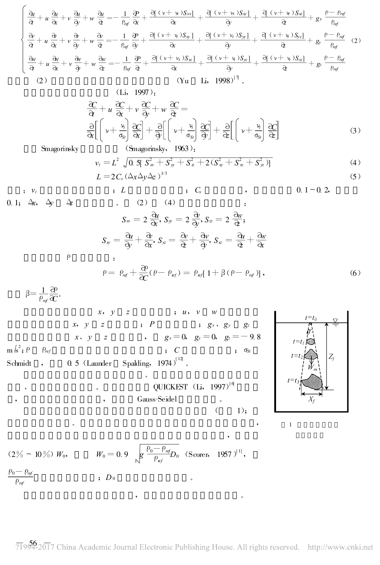$$
\begin{cases}\n\frac{\partial u}{\partial t} + u \frac{\partial u}{\partial x} + v \frac{\partial u}{\partial y} + w \frac{\partial u}{\partial z} = -\frac{1}{\rho_{ref}} \frac{\partial P}{\partial x} + \frac{\partial [\left(v + w\right)S_{xx}]}{\partial x} + \frac{\partial [\left(v + w\right)S_{xy}]}{\partial y} + \frac{\partial [\left(v + w\right)S_{xz}]}{\partial z} + g_x \frac{\rho - \rho_{ref}}{\rho_{ref}} \\
\frac{\partial v}{\partial t} + u \frac{\partial v}{\partial x} + v \frac{\partial v}{\partial y} + w \frac{\partial v}{\partial z} = -\frac{1}{\rho_{ref}} \frac{\partial P}{\partial y} + \frac{\partial [\left(v + w\right)S_{xy}]}{\partial x} + \frac{\partial [\left(v + w\right)S_{yy}]}{\partial y} + \frac{\partial [\left(v + w\right)S_{yz}]}{\partial z} + g_y \frac{\rho - \rho_{ref}}{\rho_{ref}} \\
\frac{\partial w}{\partial t} + u \frac{\partial w}{\partial x} + v \frac{\partial w}{\partial y} + w \frac{\partial w}{\partial z} = -\frac{1}{\rho_{ref}} \frac{\partial P}{\partial t} + \frac{\partial [\left(v + w\right)S_{xz}]}{\partial x} + \frac{\partial [\left(v + w\right)S_{yz}]}{\partial y} + \frac{\partial [\left(v + w\right)S_{zz}]}{\partial z} + g_z \frac{\rho - \rho_{ref}}{\rho_{ref}} \\
(2) \quad \text{(Yu} \quad \text{Li}, \quad 1998)^{[7]},\n\end{cases}
$$

$$
\frac{\partial C}{\partial t} + u \frac{\partial C}{\partial x} + v \frac{\partial C}{\partial y} + w \frac{\partial C}{\partial z} =
$$
\n
$$
\frac{\partial}{\partial x} \left[ \left( \nu + \frac{\nu_i}{\sigma_{xy}} \right) \frac{\partial C}{\partial x} \right] + \frac{\partial}{\partial y} \left[ \left( \nu + \frac{\nu_i}{\sigma_{xy}} \right) \frac{\partial C}{\partial y} \right] + \frac{\partial}{\partial z} \left[ \left( \nu + \frac{\nu_i}{\sigma_{xy}} \right) \frac{\partial C}{\partial z} \right]
$$
\n(3)

Smagorinsky

$$
v_t = L^2 \sqrt{0.5[S_x^2 + S_y^2 + S_z^2 + 2(S_x^2 + S_x^2 + S_y^2)]}
$$
  
\n
$$
L = 2C_s (\Delta_x \Delta_y \Delta_z)^{1/3}
$$
\n(4)

L =2Cs(ΔxΔyΔz) :v<sup>t</sup> ;L ;C<sup>s</sup> , 0.1 ~ 0.2 , 0.1 ;Δx , Δy Δz 。 (2) (4) : Sxx =2 u x , Syy =2 v y , Szz =2 w <sup>z</sup> ; Sxy = u y + v x , Syz = v z + w y , Sxz = u z + w x ρ : ρ= ρref + ρ C (ρ-ρref)=ρref[ 1 +β(ρ-ρref)] , (6) <sup>β</sup> <sup>=</sup> <sup>1</sup> ρref ρ C 。

, , Gauss-Seidel 。

 $\overline{\phantom{a}}$ 

 $1);$ 

,

 $x, y \quad z \qquad ; u, v \quad w$ x,  $y$  z ;  $P$  ;  $g_x$ ,  $g_y$   $g_z$ x, y z ,  $g_x = 0$ ,  $g_y = 0$ ,  $g_z = -9.8$  $m/s^2$ ;  $\rho$  $\varrho_{ref}$  ;  $C$  ;  $\sigma_{St}$ Schmidt ,  $0.5$  (Launder Spalding,  $1974$ )<sup>[12]</sup>. 。

, and the contract of the contract of  $\text{QUICKEST }\left( \text{Li},\text{ }1997\right)^{[6]}$ 



$$
(2\% \sim 10\%) W_0, \qquad W_0 = 0.9 \sqrt{\frac{\rho_0 - \rho_{ref}}{\rho_{ref}}} D_0 \quad (\text{Score}, \quad 1957)^{[1]},
$$
  

$$
\frac{\rho_0 - \rho_{ref}}{\rho_{ref}}, \qquad \qquad ; \ D_0
$$

71994-2017 China Academic Journal Electronic Publishing House. All rights reserved. http://www.cnki.net

, where  $\mathbf{r}$  is the set of  $\mathbf{r}$  is the set of  $\mathbf{r}$  is the set of  $\mathbf{r}$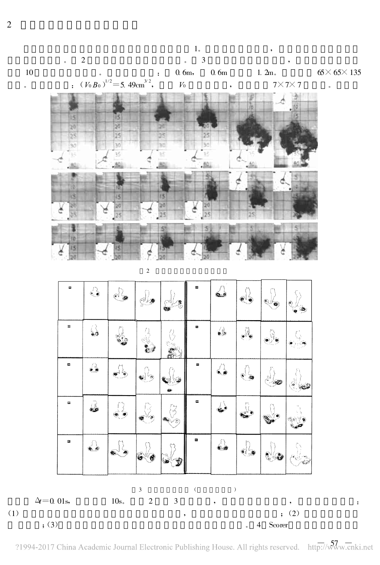

 $1\,$ 

 $(1)$ 

 $; (3)$ 

?1994-2017 China Academic Journal Electronic Publishing House. All rights reserved. http://www.cnki.net

Scorer

4

 $\ddot{\cdot}$ 

 $10\,$ 

 $\ddot{\phantom{0}}$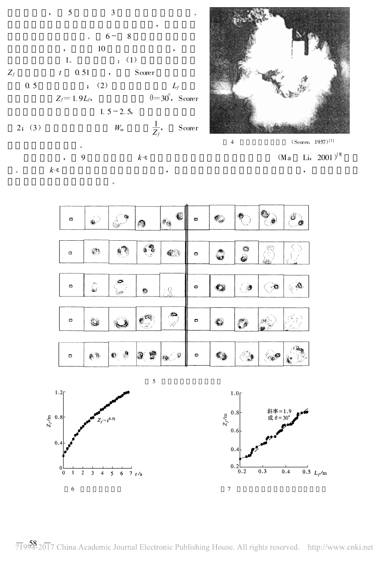



 $\overline{4}$ 



 $\overline{\phantom{a}}$ 

 $k\text{-}\!\epsilon$ 





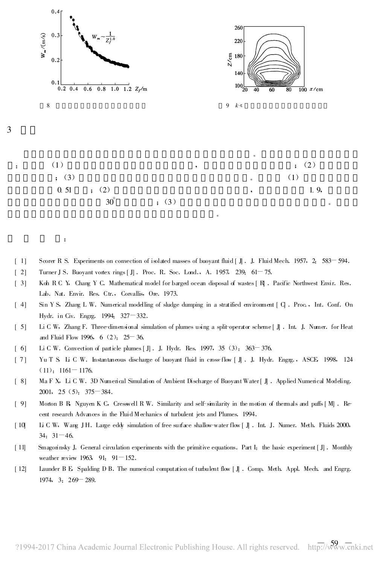

[ 1] Scorer R S. Experiments on convection of isolated masses of buoyant fluid [ J]. J. Fluid Mech. 1957, 2: 583-594.

[ 2] Turner J S. Buoyant vortex rings  $[J]$  . Proc. R. Soc. Lond., A. 1957, 239: 61–75.

3

:

- [ 3] Koh R C Y, Chang Y C. Mathematical model for barged ocean disposal of wastes [ R]. Pacific Northwest Envir. Res. Lab. Nat. Envir. Res. Ctr., Corvallis, Ore. 1973.
- [ 4] Sin Y S, Zhang L W. Numerical modelling of sludge dumping in a stratified environment [ G. Proc., Int. Conf. On Hydr. in Civ. Engrg. 1994: 327 - 332.
- [ 5] Li C W, Zhang F. Three-dimensional simulation of plumes using a split-operator scheme [ J]. Int. J. Numer. for Heat and Fluid Flow 1996, 6 (2): 25–36.
- $[6]$  Li C W. Convection of particle plumes  $[J]$ . J. Hydr. Res. 1997, 35 (3): 363-376.
- [ 7] Yu T S, Li C W. Instantaneous discharge of buoyant fluid in cross-flow [ J] .J. Hydr. Engrg., ASCE, 1998, 124  $(11):$  1161 -1176.
- [ 8] Ma F X, Li C W. 3D Numerical Simulation of Ambient Discharge of Buoyant Water [ J] . Applied Numerical Modeling.  $2001, 25(5)$ :  $375 - 384$ .
- [ 9] Morton B R, Nguyen K C, Cresswell R W. Similarity and self-similarity in the motion of thermals and puffs [ M] . Recent research Advances in the Fluid Mechanics of turbulent jets and Plumes.1994 .
- [ 10] Li C W, Wang J H. Large eddy simulation of free surface shallow-water flow [ J]. Int. J. Numer. Meth. Fluids 2000, 34:  $31 - 46$ .
- [11] Smagorinsky J. General circulation experiments with the primitive equations. Part I: the basic experiment [J]. Monthly weather review 1963, 91:  $91 - 152$ .
- [ 12] Launder B E, Spalding D B. The numerical computation of turbulent flow [ J]. Comp. Meth. Appl. Mech. and Engrg.  $1974, 3$  :  $269 - 289$ .